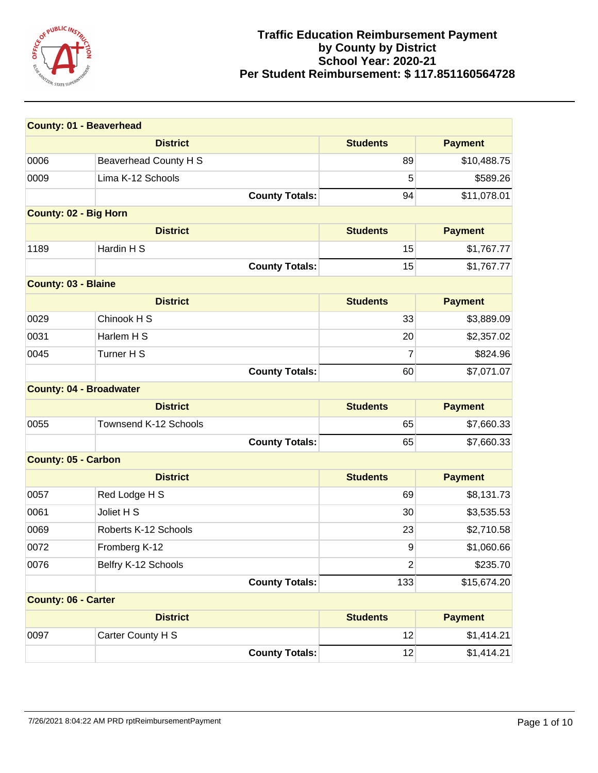

| <b>County: 01 - Beaverhead</b> |                       |                 |                |
|--------------------------------|-----------------------|-----------------|----------------|
|                                | <b>District</b>       | <b>Students</b> | <b>Payment</b> |
| 0006                           | Beaverhead County H S | 89              | \$10,488.75    |
| 0009                           | Lima K-12 Schools     | 5               | \$589.26       |
|                                | <b>County Totals:</b> | 94              | \$11,078.01    |
| <b>County: 02 - Big Horn</b>   |                       |                 |                |
|                                | <b>District</b>       | <b>Students</b> | <b>Payment</b> |
| 1189                           | Hardin H S            | 15              | \$1,767.77     |
|                                | <b>County Totals:</b> | 15              | \$1,767.77     |
| <b>County: 03 - Blaine</b>     |                       |                 |                |
|                                | <b>District</b>       | <b>Students</b> | <b>Payment</b> |
| 0029                           | Chinook H S           | 33              | \$3,889.09     |
| 0031                           | Harlem H S            | 20              | \$2,357.02     |
| 0045                           | Turner H S            | $\overline{7}$  | \$824.96       |
|                                | <b>County Totals:</b> | 60              | \$7,071.07     |
| <b>County: 04 - Broadwater</b> |                       |                 |                |
|                                | <b>District</b>       | <b>Students</b> | <b>Payment</b> |
| 0055                           | Townsend K-12 Schools | 65              | \$7,660.33     |
|                                | <b>County Totals:</b> | 65              | \$7,660.33     |
| <b>County: 05 - Carbon</b>     |                       |                 |                |
|                                | <b>District</b>       | <b>Students</b> | <b>Payment</b> |
| 0057                           | Red Lodge H S         | 69              | \$8,131.73     |
| 0061                           | Joliet H S            | 30              | \$3,535.53     |
| 0069                           | Roberts K-12 Schools  | 23              | \$2,710.58     |
| 0072                           | Fromberg K-12         | 9               | \$1,060.66     |
| 0076                           | Belfry K-12 Schools   | $\mathbf 2$     | \$235.70       |
|                                | <b>County Totals:</b> | 133             | \$15,674.20    |
| <b>County: 06 - Carter</b>     |                       |                 |                |
|                                | <b>District</b>       | <b>Students</b> | <b>Payment</b> |
| 0097                           | Carter County H S     | 12              | \$1,414.21     |
|                                | <b>County Totals:</b> | 12              | \$1,414.21     |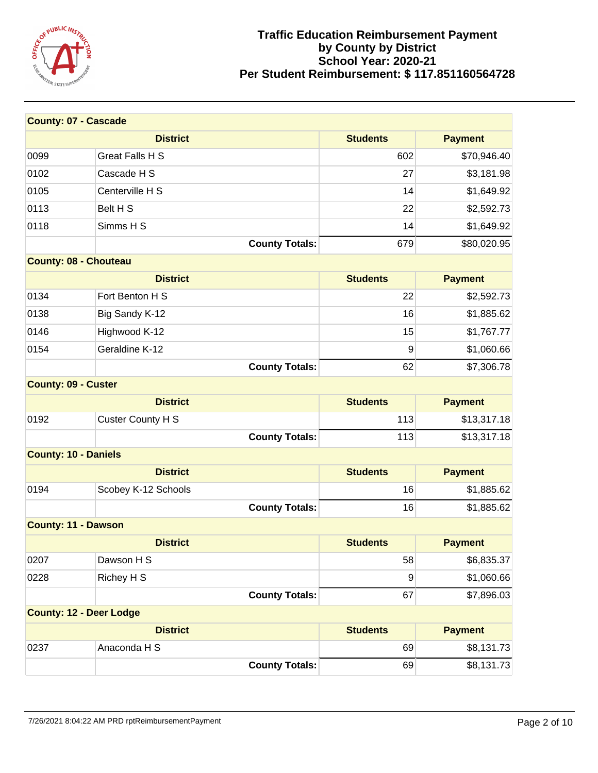

| <b>County: 07 - Cascade</b>    |                          |                 |                |
|--------------------------------|--------------------------|-----------------|----------------|
|                                | <b>District</b>          | <b>Students</b> | <b>Payment</b> |
| 0099                           | <b>Great Falls H S</b>   | 602             | \$70,946.40    |
| 0102                           | Cascade H S              | 27              | \$3,181.98     |
| 0105                           | Centerville H S          | 14              | \$1,649.92     |
| 0113                           | Belt H S                 | 22              | \$2,592.73     |
| 0118                           | Simms H S                | 14              | \$1,649.92     |
|                                | <b>County Totals:</b>    | 679             | \$80,020.95    |
| <b>County: 08 - Chouteau</b>   |                          |                 |                |
|                                | <b>District</b>          | <b>Students</b> | <b>Payment</b> |
| 0134                           | Fort Benton H S          | 22              | \$2,592.73     |
| 0138                           | Big Sandy K-12           | 16              | \$1,885.62     |
| 0146                           | Highwood K-12            | 15              | \$1,767.77     |
| 0154                           | Geraldine K-12           | 9               | \$1,060.66     |
|                                | <b>County Totals:</b>    | 62              | \$7,306.78     |
| <b>County: 09 - Custer</b>     |                          |                 |                |
|                                | <b>District</b>          | <b>Students</b> | <b>Payment</b> |
| 0192                           | <b>Custer County H S</b> | 113             | \$13,317.18    |
|                                | <b>County Totals:</b>    | 113             | \$13,317.18    |
| <b>County: 10 - Daniels</b>    |                          |                 |                |
|                                | <b>District</b>          | <b>Students</b> | <b>Payment</b> |
| 0194                           | Scobey K-12 Schools      | 16              | \$1,885.62     |
|                                | <b>County Totals:</b>    | 16              | \$1,885.62     |
| <b>County: 11 - Dawson</b>     |                          |                 |                |
|                                | <b>District</b>          | <b>Students</b> | <b>Payment</b> |
| 0207                           | Dawson H S               | 58              | \$6,835.37     |
| 0228                           | Richey H S               | 9               | \$1,060.66     |
|                                | <b>County Totals:</b>    | 67              | \$7,896.03     |
| <b>County: 12 - Deer Lodge</b> |                          |                 |                |
|                                | <b>District</b>          | <b>Students</b> | <b>Payment</b> |
| 0237                           | Anaconda H S             | 69              | \$8,131.73     |
|                                | <b>County Totals:</b>    | 69              | \$8,131.73     |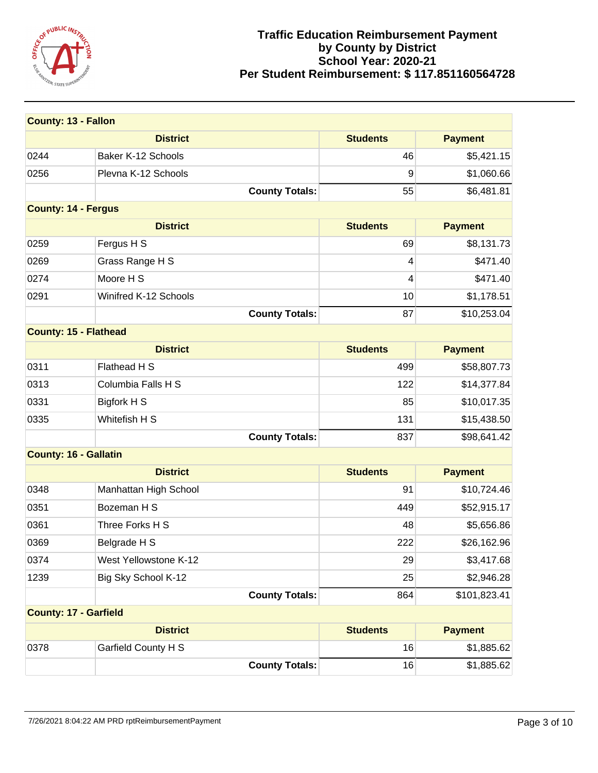

| <b>County: 13 - Fallon</b>   |                            |                 |                |
|------------------------------|----------------------------|-----------------|----------------|
|                              | <b>District</b>            | <b>Students</b> | <b>Payment</b> |
| 0244                         | Baker K-12 Schools         | 46              | \$5,421.15     |
| 0256                         | Plevna K-12 Schools        | 9               | \$1,060.66     |
|                              | <b>County Totals:</b>      | 55              | \$6,481.81     |
| <b>County: 14 - Fergus</b>   |                            |                 |                |
|                              | <b>District</b>            | <b>Students</b> | <b>Payment</b> |
| 0259                         | Fergus H S                 | 69              | \$8,131.73     |
| 0269                         | Grass Range H S            | 4               | \$471.40       |
| 0274                         | Moore H S                  | 4               | \$471.40       |
| 0291                         | Winifred K-12 Schools      | 10              | \$1,178.51     |
|                              | <b>County Totals:</b>      | 87              | \$10,253.04    |
| <b>County: 15 - Flathead</b> |                            |                 |                |
|                              | <b>District</b>            | <b>Students</b> | <b>Payment</b> |
| 0311                         | Flathead H S               | 499             | \$58,807.73    |
| 0313                         | Columbia Falls H S         | 122             | \$14,377.84    |
| 0331                         | Bigfork H S                | 85              | \$10,017.35    |
| 0335                         | Whitefish H S              | 131             | \$15,438.50    |
|                              | <b>County Totals:</b>      | 837             | \$98,641.42    |
| <b>County: 16 - Gallatin</b> |                            |                 |                |
|                              | <b>District</b>            | <b>Students</b> | <b>Payment</b> |
| 0348                         | Manhattan High School      | 91              | \$10,724.46    |
| 0351                         | Bozeman H S                | 449             | \$52,915.17    |
| 0361                         | Three Forks H S            | 48              | \$5,656.86     |
| 0369                         | Belgrade H S               | 222             | \$26,162.96    |
| 0374                         | West Yellowstone K-12      | 29              | \$3,417.68     |
| 1239                         | Big Sky School K-12        | 25              | \$2,946.28     |
|                              | <b>County Totals:</b>      | 864             | \$101,823.41   |
| <b>County: 17 - Garfield</b> |                            |                 |                |
|                              | <b>District</b>            | <b>Students</b> | <b>Payment</b> |
| 0378                         | <b>Garfield County H S</b> | 16              | \$1,885.62     |
|                              | <b>County Totals:</b>      | 16              | \$1,885.62     |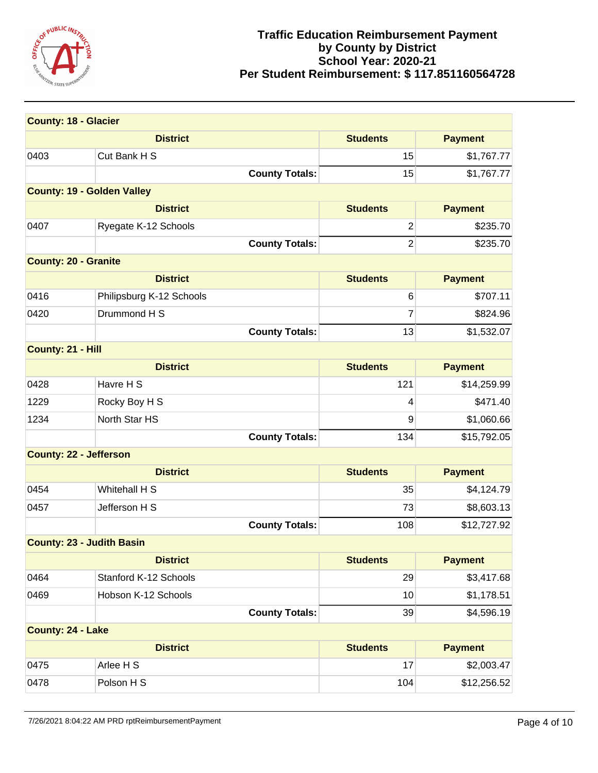

| <b>County: 18 - Glacier</b>       |                          |                 |                |
|-----------------------------------|--------------------------|-----------------|----------------|
|                                   | <b>District</b>          | <b>Students</b> | <b>Payment</b> |
| 0403                              | Cut Bank H S             | 15              | \$1,767.77     |
|                                   | <b>County Totals:</b>    | 15              | \$1,767.77     |
| <b>County: 19 - Golden Valley</b> |                          |                 |                |
|                                   | <b>District</b>          | <b>Students</b> | <b>Payment</b> |
| 0407                              | Ryegate K-12 Schools     | $\overline{2}$  | \$235.70       |
|                                   | <b>County Totals:</b>    | $\overline{2}$  | \$235.70       |
| <b>County: 20 - Granite</b>       |                          |                 |                |
|                                   | <b>District</b>          | <b>Students</b> | <b>Payment</b> |
| 0416                              | Philipsburg K-12 Schools | 6               | \$707.11       |
| 0420                              | Drummond H S             | 7               | \$824.96       |
|                                   | <b>County Totals:</b>    | 13              | \$1,532.07     |
| County: 21 - Hill                 |                          |                 |                |
|                                   | <b>District</b>          | <b>Students</b> | <b>Payment</b> |
| 0428                              | Havre H S                | 121             | \$14,259.99    |
| 1229                              | Rocky Boy H S            | 4               | \$471.40       |
| 1234                              | North Star HS            | 9               | \$1,060.66     |
|                                   | <b>County Totals:</b>    | 134             | \$15,792.05    |
| <b>County: 22 - Jefferson</b>     |                          |                 |                |
|                                   | <b>District</b>          | <b>Students</b> | <b>Payment</b> |
| 0454                              | Whitehall H S            | 35              | \$4,124.79     |
| 0457                              | Jefferson H S            | 73              | \$8,603.13     |
|                                   | <b>County Totals:</b>    | 108             | \$12,727.92    |
| <b>County: 23 - Judith Basin</b>  |                          |                 |                |
|                                   | <b>District</b>          | <b>Students</b> | <b>Payment</b> |
| 0464                              | Stanford K-12 Schools    | 29              | \$3,417.68     |
| 0469                              | Hobson K-12 Schools      | 10              | \$1,178.51     |
|                                   | <b>County Totals:</b>    | 39              | \$4,596.19     |
| County: 24 - Lake                 |                          |                 |                |
|                                   | <b>District</b>          | <b>Students</b> | <b>Payment</b> |
| 0475                              | Arlee H S                | 17              | \$2,003.47     |
| 0478                              | Polson H S               | 104             | \$12,256.52    |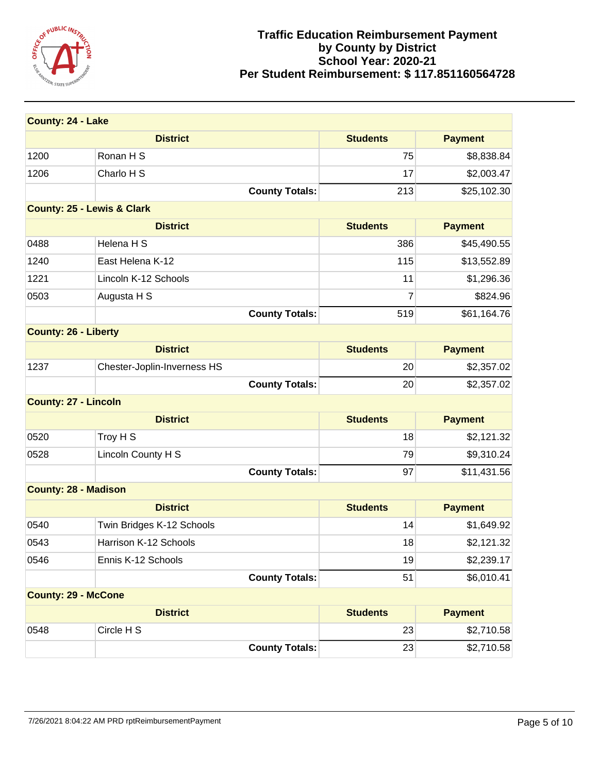

| <b>County: 24 - Lake</b>    |                                       |                 |                |
|-----------------------------|---------------------------------------|-----------------|----------------|
|                             | <b>District</b>                       | <b>Students</b> | <b>Payment</b> |
| 1200                        | Ronan H S                             | 75              | \$8,838.84     |
| 1206                        | Charlo H S                            | 17              | \$2,003.47     |
|                             | <b>County Totals:</b>                 | 213             | \$25,102.30    |
|                             | <b>County: 25 - Lewis &amp; Clark</b> |                 |                |
|                             | <b>District</b>                       | <b>Students</b> | <b>Payment</b> |
| 0488                        | Helena H S                            | 386             | \$45,490.55    |
| 1240                        | East Helena K-12                      | 115             | \$13,552.89    |
| 1221                        | Lincoln K-12 Schools                  | 11              | \$1,296.36     |
| 0503                        | Augusta H S                           | 7               | \$824.96       |
|                             | <b>County Totals:</b>                 | 519             | \$61,164.76    |
| <b>County: 26 - Liberty</b> |                                       |                 |                |
|                             | <b>District</b>                       | <b>Students</b> | <b>Payment</b> |
| 1237                        | Chester-Joplin-Inverness HS           | 20              | \$2,357.02     |
|                             | <b>County Totals:</b>                 | 20              | \$2,357.02     |
| <b>County: 27 - Lincoln</b> |                                       |                 |                |
|                             | <b>District</b>                       | <b>Students</b> | <b>Payment</b> |
| 0520                        | Troy H S                              | 18              | \$2,121.32     |
| 0528                        | Lincoln County H S                    | 79              | \$9,310.24     |
|                             | <b>County Totals:</b>                 | 97              | \$11,431.56    |
| <b>County: 28 - Madison</b> |                                       |                 |                |
|                             | <b>District</b>                       | <b>Students</b> | <b>Payment</b> |
| 0540                        | Twin Bridges K-12 Schools             | 14              | \$1,649.92     |
| 0543                        | Harrison K-12 Schools                 | 18              | \$2,121.32     |
| 0546                        | Ennis K-12 Schools                    | 19              | \$2,239.17     |
|                             | <b>County Totals:</b>                 | 51              | \$6,010.41     |
| <b>County: 29 - McCone</b>  |                                       |                 |                |
|                             | <b>District</b>                       | <b>Students</b> | <b>Payment</b> |
| 0548                        | Circle H S                            | 23              | \$2,710.58     |
|                             | <b>County Totals:</b>                 | 23              | \$2,710.58     |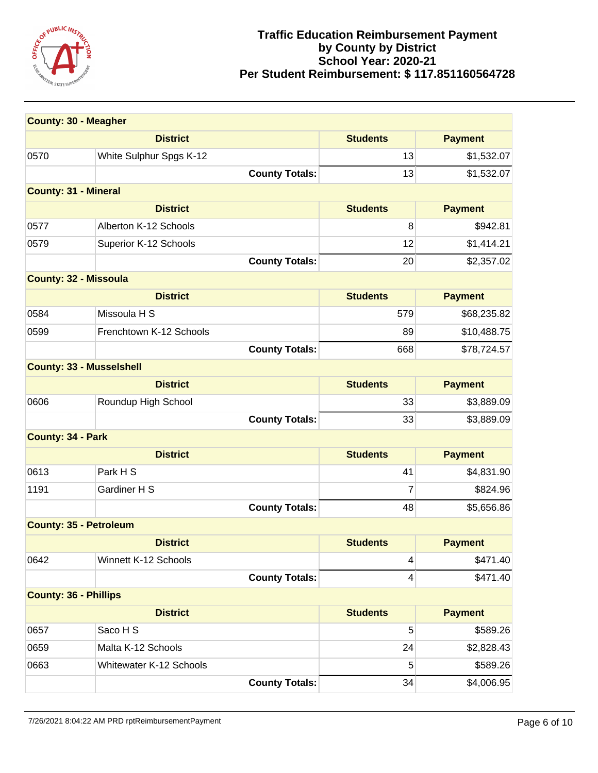

| <b>County: 30 - Meagher</b>     |                                |                 |                |
|---------------------------------|--------------------------------|-----------------|----------------|
|                                 | <b>District</b>                | <b>Students</b> | <b>Payment</b> |
| 0570                            | White Sulphur Spgs K-12        | 13              | \$1,532.07     |
|                                 | <b>County Totals:</b>          | 13              | \$1,532.07     |
| <b>County: 31 - Mineral</b>     |                                |                 |                |
|                                 | <b>District</b>                | <b>Students</b> | <b>Payment</b> |
| 0577                            | Alberton K-12 Schools          | 8               | \$942.81       |
| 0579                            | Superior K-12 Schools          | 12              | \$1,414.21     |
|                                 | <b>County Totals:</b>          | 20              | \$2,357.02     |
| <b>County: 32 - Missoula</b>    |                                |                 |                |
|                                 | <b>District</b>                | <b>Students</b> | <b>Payment</b> |
| 0584                            | Missoula H S                   | 579             | \$68,235.82    |
| 0599                            | Frenchtown K-12 Schools        | 89              | \$10,488.75    |
|                                 | <b>County Totals:</b>          | 668             | \$78,724.57    |
| <b>County: 33 - Musselshell</b> |                                |                 |                |
|                                 | <b>District</b>                | <b>Students</b> | <b>Payment</b> |
| 0606                            | Roundup High School            | 33              | \$3,889.09     |
|                                 | <b>County Totals:</b>          | 33              | \$3,889.09     |
| <b>County: 34 - Park</b>        |                                |                 |                |
|                                 | <b>District</b>                | <b>Students</b> | <b>Payment</b> |
| 0613                            | Park H S                       | 41              | \$4,831.90     |
| 1191                            | Gardiner H S                   | 7               | \$824.96       |
|                                 | <b>County Totals:</b>          | 48              | \$5,656.86     |
| <b>County: 35 - Petroleum</b>   |                                |                 |                |
|                                 | <b>District</b>                | <b>Students</b> | <b>Payment</b> |
| 0642                            | Winnett K-12 Schools           | 4               | \$471.40       |
|                                 | <b>County Totals:</b>          | 4               | \$471.40       |
| <b>County: 36 - Phillips</b>    |                                |                 |                |
|                                 | <b>District</b>                | <b>Students</b> | <b>Payment</b> |
| 0657                            | Saco H S                       | 5               | \$589.26       |
| 0659                            | Malta K-12 Schools             | 24              | \$2,828.43     |
| 0663                            | <b>Whitewater K-12 Schools</b> | 5               | \$589.26       |
|                                 | <b>County Totals:</b>          | 34              | \$4,006.95     |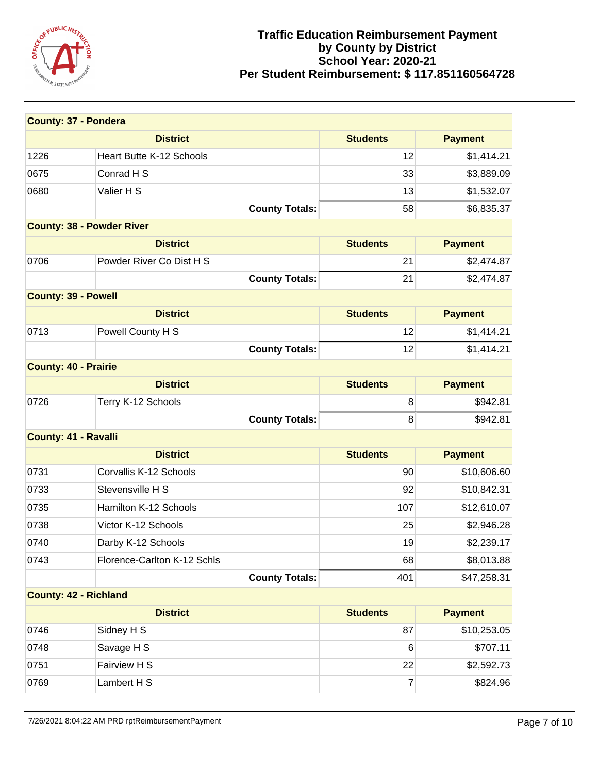

| <b>County: 37 - Pondera</b>      |                             |                 |                |
|----------------------------------|-----------------------------|-----------------|----------------|
|                                  | <b>District</b>             | <b>Students</b> | <b>Payment</b> |
| 1226                             | Heart Butte K-12 Schools    | 12              | \$1,414.21     |
| 0675                             | Conrad H S                  | 33              | \$3,889.09     |
| 0680                             | Valier H S                  | 13              | \$1,532.07     |
|                                  | <b>County Totals:</b>       | 58              | \$6,835.37     |
| <b>County: 38 - Powder River</b> |                             |                 |                |
|                                  | <b>District</b>             | <b>Students</b> | <b>Payment</b> |
| 0706                             | Powder River Co Dist H S    | 21              | \$2,474.87     |
|                                  | <b>County Totals:</b>       | 21              | \$2,474.87     |
| <b>County: 39 - Powell</b>       |                             |                 |                |
|                                  | <b>District</b>             | <b>Students</b> | <b>Payment</b> |
| 0713                             | Powell County H S           | 12              | \$1,414.21     |
|                                  | <b>County Totals:</b>       | 12              | \$1,414.21     |
| <b>County: 40 - Prairie</b>      |                             |                 |                |
|                                  | <b>District</b>             | <b>Students</b> | <b>Payment</b> |
| 0726                             | Terry K-12 Schools          | 8               | \$942.81       |
|                                  | <b>County Totals:</b>       | 8               | \$942.81       |
| <b>County: 41 - Ravalli</b>      |                             |                 |                |
|                                  | <b>District</b>             | <b>Students</b> | <b>Payment</b> |
| 0731                             | Corvallis K-12 Schools      | 90              | \$10,606.60    |
| 0733                             | Stevensville H S            | 92              | \$10,842.31    |
| 0735                             | Hamilton K-12 Schools       | 107             | \$12,610.07    |
| 0738                             | Victor K-12 Schools         | 25              | \$2,946.28     |
| 0740                             | Darby K-12 Schools          | 19              | \$2,239.17     |
| 0743                             | Florence-Carlton K-12 Schls | 68              | \$8,013.88     |
|                                  | <b>County Totals:</b>       | 401             | \$47,258.31    |
| <b>County: 42 - Richland</b>     |                             |                 |                |
|                                  | <b>District</b>             | <b>Students</b> | <b>Payment</b> |
| 0746                             | Sidney H S                  | 87              | \$10,253.05    |
| 0748                             | Savage H S                  | 6               | \$707.11       |
| 0751                             | Fairview H S                | 22              | \$2,592.73     |
| 0769                             | Lambert H S                 | 7               | \$824.96       |

7/26/2021 8:04:22 AM PRD rptReimbursementPayment Page 7 of 10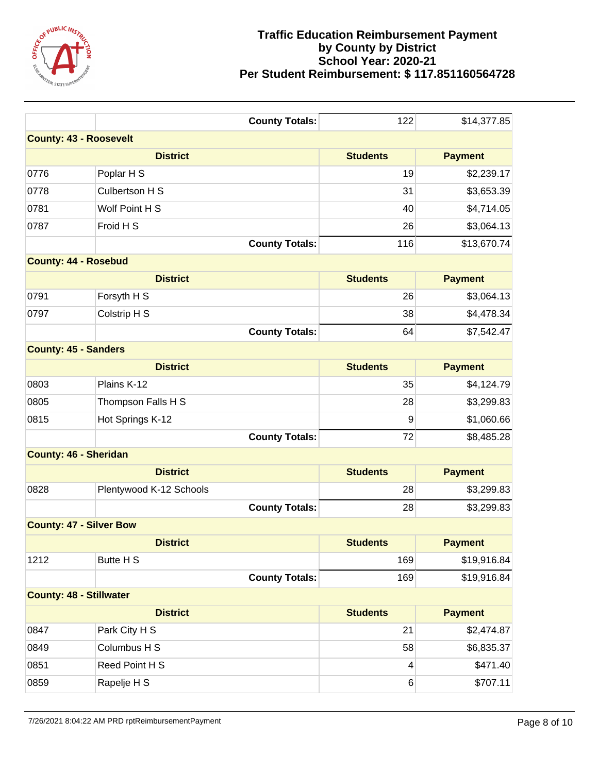

|                                | <b>County Totals:</b>         | 122             | \$14,377.85    |  |  |
|--------------------------------|-------------------------------|-----------------|----------------|--|--|
|                                | <b>County: 43 - Roosevelt</b> |                 |                |  |  |
|                                | <b>District</b>               | <b>Students</b> | <b>Payment</b> |  |  |
| 0776                           | Poplar H S                    | 19              | \$2,239.17     |  |  |
| 0778                           | Culbertson H S                | 31              | \$3,653.39     |  |  |
| 0781                           | Wolf Point H S                | 40              | \$4,714.05     |  |  |
| 0787                           | Froid H S                     | 26              | \$3,064.13     |  |  |
|                                | <b>County Totals:</b>         | 116             | \$13,670.74    |  |  |
| <b>County: 44 - Rosebud</b>    |                               |                 |                |  |  |
|                                | <b>District</b>               | <b>Students</b> | <b>Payment</b> |  |  |
| 0791                           | Forsyth H S                   | 26              | \$3,064.13     |  |  |
| 0797                           | Colstrip H S                  | 38              | \$4,478.34     |  |  |
|                                | <b>County Totals:</b>         | 64              | \$7,542.47     |  |  |
| <b>County: 45 - Sanders</b>    |                               |                 |                |  |  |
|                                | <b>District</b>               | <b>Students</b> | <b>Payment</b> |  |  |
| 0803                           | Plains K-12                   | 35              | \$4,124.79     |  |  |
| 0805                           | Thompson Falls H S            | 28              | \$3,299.83     |  |  |
| 0815                           | Hot Springs K-12              | 9               | \$1,060.66     |  |  |
|                                | <b>County Totals:</b>         | 72              | \$8,485.28     |  |  |
| <b>County: 46 - Sheridan</b>   |                               |                 |                |  |  |
|                                | <b>District</b>               | <b>Students</b> | <b>Payment</b> |  |  |
| 0828                           | Plentywood K-12 Schools       | 28              | \$3,299.83     |  |  |
|                                | <b>County Totals:</b>         | 28              | \$3,299.83     |  |  |
| <b>County: 47 - Silver Bow</b> |                               |                 |                |  |  |
|                                | <b>District</b>               | <b>Students</b> | <b>Payment</b> |  |  |
| 1212                           | Butte H S                     | 169             | \$19,916.84    |  |  |
|                                | <b>County Totals:</b>         | 169             | \$19,916.84    |  |  |
| <b>County: 48 - Stillwater</b> |                               |                 |                |  |  |
|                                | <b>District</b>               | <b>Students</b> | <b>Payment</b> |  |  |
| 0847                           | Park City H S                 | 21              | \$2,474.87     |  |  |
| 0849                           | Columbus H S                  | 58              | \$6,835.37     |  |  |
| 0851                           | Reed Point H S                | 4               | \$471.40       |  |  |
| 0859                           | Rapelje H S                   | $\,6$           | \$707.11       |  |  |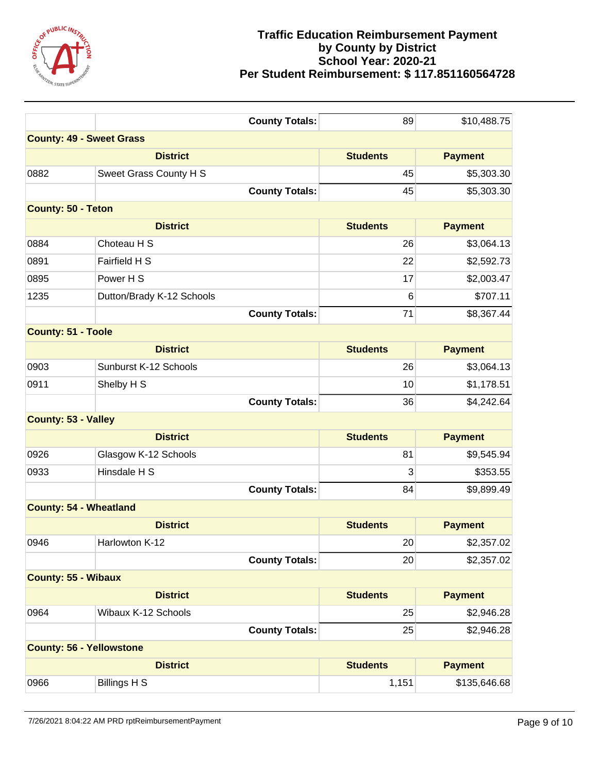

| <b>County: 49 - Sweet Grass</b><br><b>District</b><br><b>Students</b><br><b>Payment</b><br>0882<br>Sweet Grass County H S<br>45<br>\$5,303.30<br><b>County Totals:</b><br>45<br>\$5,303.30<br><b>County: 50 - Teton</b><br><b>District</b><br><b>Students</b><br><b>Payment</b><br>0884<br>Choteau H S<br>26<br>\$3,064.13<br>0891<br>Fairfield H S<br>22<br>\$2,592.73<br>0895<br>Power H S<br>17<br>\$2,003.47<br>1235<br>6<br>\$707.11<br>Dutton/Brady K-12 Schools<br><b>County Totals:</b><br>71<br>\$8,367.44<br><b>County: 51 - Toole</b><br><b>District</b><br><b>Students</b><br><b>Payment</b><br>0903<br>Sunburst K-12 Schools<br>26<br>\$3,064.13<br>0911<br>Shelby H S<br>10<br>\$1,178.51<br><b>County Totals:</b><br>36<br>\$4,242.64<br><b>County: 53 - Valley</b><br><b>District</b><br><b>Students</b><br><b>Payment</b><br>0926<br>Glasgow K-12 Schools<br>81<br>\$9,545.94<br>Hinsdale H S<br>0933<br>3<br>\$353.55<br><b>County Totals:</b><br>84<br>\$9,899.49<br><b>County: 54 - Wheatland</b><br><b>District</b><br><b>Students</b><br><b>Payment</b><br>Harlowton K-12<br>20<br>0946<br>\$2,357.02<br><b>County Totals:</b><br>20<br>\$2,357.02<br><b>County: 55 - Wibaux</b><br><b>Students</b><br><b>Payment</b><br><b>District</b><br>Wibaux K-12 Schools<br>0964<br>25<br>\$2,946.28<br><b>County Totals:</b><br>25<br>\$2,946.28<br><b>County: 56 - Yellowstone</b><br><b>District</b><br><b>Students</b><br><b>Payment</b><br><b>Billings H S</b><br>0966<br>\$135,646.68<br>1,151 | <b>County Totals:</b> | 89 | \$10,488.75 |
|-------------------------------------------------------------------------------------------------------------------------------------------------------------------------------------------------------------------------------------------------------------------------------------------------------------------------------------------------------------------------------------------------------------------------------------------------------------------------------------------------------------------------------------------------------------------------------------------------------------------------------------------------------------------------------------------------------------------------------------------------------------------------------------------------------------------------------------------------------------------------------------------------------------------------------------------------------------------------------------------------------------------------------------------------------------------------------------------------------------------------------------------------------------------------------------------------------------------------------------------------------------------------------------------------------------------------------------------------------------------------------------------------------------------------------------------------------------------------------------------------------------------|-----------------------|----|-------------|
|                                                                                                                                                                                                                                                                                                                                                                                                                                                                                                                                                                                                                                                                                                                                                                                                                                                                                                                                                                                                                                                                                                                                                                                                                                                                                                                                                                                                                                                                                                                   |                       |    |             |
|                                                                                                                                                                                                                                                                                                                                                                                                                                                                                                                                                                                                                                                                                                                                                                                                                                                                                                                                                                                                                                                                                                                                                                                                                                                                                                                                                                                                                                                                                                                   |                       |    |             |
|                                                                                                                                                                                                                                                                                                                                                                                                                                                                                                                                                                                                                                                                                                                                                                                                                                                                                                                                                                                                                                                                                                                                                                                                                                                                                                                                                                                                                                                                                                                   |                       |    |             |
|                                                                                                                                                                                                                                                                                                                                                                                                                                                                                                                                                                                                                                                                                                                                                                                                                                                                                                                                                                                                                                                                                                                                                                                                                                                                                                                                                                                                                                                                                                                   |                       |    |             |
|                                                                                                                                                                                                                                                                                                                                                                                                                                                                                                                                                                                                                                                                                                                                                                                                                                                                                                                                                                                                                                                                                                                                                                                                                                                                                                                                                                                                                                                                                                                   |                       |    |             |
|                                                                                                                                                                                                                                                                                                                                                                                                                                                                                                                                                                                                                                                                                                                                                                                                                                                                                                                                                                                                                                                                                                                                                                                                                                                                                                                                                                                                                                                                                                                   |                       |    |             |
|                                                                                                                                                                                                                                                                                                                                                                                                                                                                                                                                                                                                                                                                                                                                                                                                                                                                                                                                                                                                                                                                                                                                                                                                                                                                                                                                                                                                                                                                                                                   |                       |    |             |
|                                                                                                                                                                                                                                                                                                                                                                                                                                                                                                                                                                                                                                                                                                                                                                                                                                                                                                                                                                                                                                                                                                                                                                                                                                                                                                                                                                                                                                                                                                                   |                       |    |             |
|                                                                                                                                                                                                                                                                                                                                                                                                                                                                                                                                                                                                                                                                                                                                                                                                                                                                                                                                                                                                                                                                                                                                                                                                                                                                                                                                                                                                                                                                                                                   |                       |    |             |
|                                                                                                                                                                                                                                                                                                                                                                                                                                                                                                                                                                                                                                                                                                                                                                                                                                                                                                                                                                                                                                                                                                                                                                                                                                                                                                                                                                                                                                                                                                                   |                       |    |             |
|                                                                                                                                                                                                                                                                                                                                                                                                                                                                                                                                                                                                                                                                                                                                                                                                                                                                                                                                                                                                                                                                                                                                                                                                                                                                                                                                                                                                                                                                                                                   |                       |    |             |
|                                                                                                                                                                                                                                                                                                                                                                                                                                                                                                                                                                                                                                                                                                                                                                                                                                                                                                                                                                                                                                                                                                                                                                                                                                                                                                                                                                                                                                                                                                                   |                       |    |             |
|                                                                                                                                                                                                                                                                                                                                                                                                                                                                                                                                                                                                                                                                                                                                                                                                                                                                                                                                                                                                                                                                                                                                                                                                                                                                                                                                                                                                                                                                                                                   |                       |    |             |
|                                                                                                                                                                                                                                                                                                                                                                                                                                                                                                                                                                                                                                                                                                                                                                                                                                                                                                                                                                                                                                                                                                                                                                                                                                                                                                                                                                                                                                                                                                                   |                       |    |             |
|                                                                                                                                                                                                                                                                                                                                                                                                                                                                                                                                                                                                                                                                                                                                                                                                                                                                                                                                                                                                                                                                                                                                                                                                                                                                                                                                                                                                                                                                                                                   |                       |    |             |
|                                                                                                                                                                                                                                                                                                                                                                                                                                                                                                                                                                                                                                                                                                                                                                                                                                                                                                                                                                                                                                                                                                                                                                                                                                                                                                                                                                                                                                                                                                                   |                       |    |             |
|                                                                                                                                                                                                                                                                                                                                                                                                                                                                                                                                                                                                                                                                                                                                                                                                                                                                                                                                                                                                                                                                                                                                                                                                                                                                                                                                                                                                                                                                                                                   |                       |    |             |
|                                                                                                                                                                                                                                                                                                                                                                                                                                                                                                                                                                                                                                                                                                                                                                                                                                                                                                                                                                                                                                                                                                                                                                                                                                                                                                                                                                                                                                                                                                                   |                       |    |             |
|                                                                                                                                                                                                                                                                                                                                                                                                                                                                                                                                                                                                                                                                                                                                                                                                                                                                                                                                                                                                                                                                                                                                                                                                                                                                                                                                                                                                                                                                                                                   |                       |    |             |
|                                                                                                                                                                                                                                                                                                                                                                                                                                                                                                                                                                                                                                                                                                                                                                                                                                                                                                                                                                                                                                                                                                                                                                                                                                                                                                                                                                                                                                                                                                                   |                       |    |             |
|                                                                                                                                                                                                                                                                                                                                                                                                                                                                                                                                                                                                                                                                                                                                                                                                                                                                                                                                                                                                                                                                                                                                                                                                                                                                                                                                                                                                                                                                                                                   |                       |    |             |
|                                                                                                                                                                                                                                                                                                                                                                                                                                                                                                                                                                                                                                                                                                                                                                                                                                                                                                                                                                                                                                                                                                                                                                                                                                                                                                                                                                                                                                                                                                                   |                       |    |             |
|                                                                                                                                                                                                                                                                                                                                                                                                                                                                                                                                                                                                                                                                                                                                                                                                                                                                                                                                                                                                                                                                                                                                                                                                                                                                                                                                                                                                                                                                                                                   |                       |    |             |
|                                                                                                                                                                                                                                                                                                                                                                                                                                                                                                                                                                                                                                                                                                                                                                                                                                                                                                                                                                                                                                                                                                                                                                                                                                                                                                                                                                                                                                                                                                                   |                       |    |             |
|                                                                                                                                                                                                                                                                                                                                                                                                                                                                                                                                                                                                                                                                                                                                                                                                                                                                                                                                                                                                                                                                                                                                                                                                                                                                                                                                                                                                                                                                                                                   |                       |    |             |
|                                                                                                                                                                                                                                                                                                                                                                                                                                                                                                                                                                                                                                                                                                                                                                                                                                                                                                                                                                                                                                                                                                                                                                                                                                                                                                                                                                                                                                                                                                                   |                       |    |             |
|                                                                                                                                                                                                                                                                                                                                                                                                                                                                                                                                                                                                                                                                                                                                                                                                                                                                                                                                                                                                                                                                                                                                                                                                                                                                                                                                                                                                                                                                                                                   |                       |    |             |
|                                                                                                                                                                                                                                                                                                                                                                                                                                                                                                                                                                                                                                                                                                                                                                                                                                                                                                                                                                                                                                                                                                                                                                                                                                                                                                                                                                                                                                                                                                                   |                       |    |             |
|                                                                                                                                                                                                                                                                                                                                                                                                                                                                                                                                                                                                                                                                                                                                                                                                                                                                                                                                                                                                                                                                                                                                                                                                                                                                                                                                                                                                                                                                                                                   |                       |    |             |
|                                                                                                                                                                                                                                                                                                                                                                                                                                                                                                                                                                                                                                                                                                                                                                                                                                                                                                                                                                                                                                                                                                                                                                                                                                                                                                                                                                                                                                                                                                                   |                       |    |             |
|                                                                                                                                                                                                                                                                                                                                                                                                                                                                                                                                                                                                                                                                                                                                                                                                                                                                                                                                                                                                                                                                                                                                                                                                                                                                                                                                                                                                                                                                                                                   |                       |    |             |
|                                                                                                                                                                                                                                                                                                                                                                                                                                                                                                                                                                                                                                                                                                                                                                                                                                                                                                                                                                                                                                                                                                                                                                                                                                                                                                                                                                                                                                                                                                                   |                       |    |             |